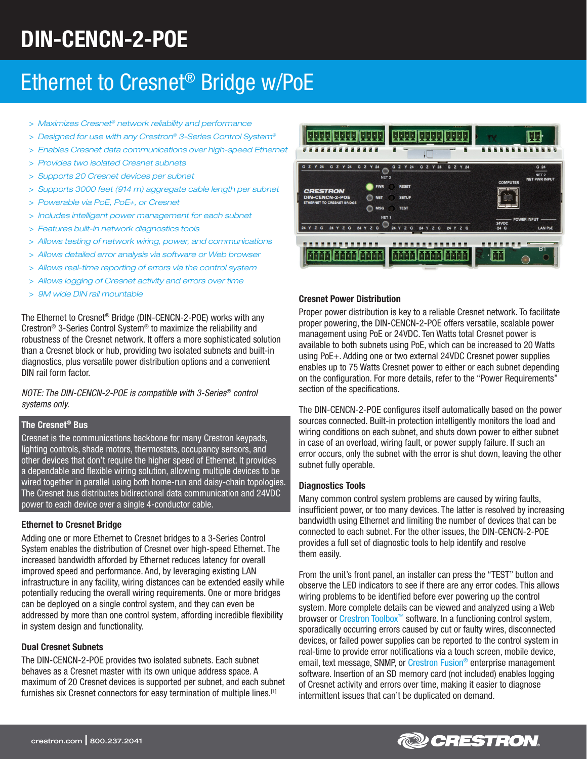# DIN-CENCN-2-POE

## Ethernet to Cresnet® Bridge w/PoE

- > *Maximizes Cresnet® network reliability and performance*
- > *Designed for use with any Crestron® 3-Series Control System®*
- > *Enables Cresnet data communications over high-speed Ethernet*
- > *Provides two isolated Cresnet subnets*
- > *Supports 20 Cresnet devices per subnet*
- > *Supports 3000 feet (914 m) aggregate cable length per subnet*
- > *Powerable via PoE, PoE+, or Cresnet*
- > *Includes intelligent power management for each subnet*
- > *Features built-in network diagnostics tools*
- > *Allows testing of network wiring, power, and communications*
- > *Allows detailed error analysis via software or Web browser*
- > *Allows real-time reporting of errors via the control system*
- > *Allows logging of Cresnet activity and errors over time*
- > *9M wide DIN rail mountable*

The Ethernet to Cresnet® Bridge (DIN-CENCN-2-POE) works with any Crestron® 3-Series Control System® to maximize the reliability and robustness of the Cresnet network. It offers a more sophisticated solution than a Cresnet block or hub, providing two isolated subnets and built-in diagnostics, plus versatile power distribution options and a convenient DIN rail form factor.

*NOTE: The DIN-CENCN-2-POE is compatible with 3-Series® control systems only.*

## The Cresnet® Bus

Cresnet is the communications backbone for many Crestron keypads, lighting controls, shade motors, thermostats, occupancy sensors, and other devices that don't require the higher speed of Ethernet. It provides a dependable and flexible wiring solution, allowing multiple devices to be wired together in parallel using both home-run and daisy-chain topologies. The Cresnet bus distributes bidirectional data communication and 24VDC power to each device over a single 4-conductor cable.

## Ethernet to Cresnet Bridge

Adding one or more Ethernet to Cresnet bridges to a 3-Series Control System enables the distribution of Cresnet over high-speed Ethernet. The increased bandwidth afforded by Ethernet reduces latency for overall improved speed and performance. And, by leveraging existing LAN infrastructure in any facility, wiring distances can be extended easily while potentially reducing the overall wiring requirements. One or more bridges can be deployed on a single control system, and they can even be addressed by more than one control system, affording incredible flexibility in system design and functionality.

## Dual Cresnet Subnets

The DIN-CENCN-2-POE provides two isolated subnets. Each subnet behaves as a Cresnet master with its own unique address space. A maximum of 20 Cresnet devices is supported per subnet, and each subnet furnishes six Cresnet connectors for easy termination of multiple lines.[1]



## Cresnet Power Distribution

Proper power distribution is key to a reliable Cresnet network. To facilitate proper powering, the DIN-CENCN-2-POE offers versatile, scalable power management using PoE or 24VDC. Ten Watts total Cresnet power is available to both subnets using PoE, which can be increased to 20 Watts using PoE+. Adding one or two external 24VDC Cresnet power supplies enables up to 75 Watts Cresnet power to either or each subnet depending on the configuration. For more details, refer to the "Power Requirements" section of the specifications.

The DIN-CENCN-2-POE configures itself automatically based on the power sources connected. Built-in protection intelligently monitors the load and wiring conditions on each subnet, and shuts down power to either subnet in case of an overload, wiring fault, or power supply failure. If such an error occurs, only the subnet with the error is shut down, leaving the other subnet fully operable.

## Diagnostics Tools

Many common control system problems are caused by wiring faults, insufficient power, or too many devices. The latter is resolved by increasing bandwidth using Ethernet and limiting the number of devices that can be connected to each subnet. For the other issues, the DIN-CENCN-2-POE provides a full set of diagnostic tools to help identify and resolve them easily.

From the unit's front panel, an installer can press the "TEST" button and observe the LED indicators to see if there are any error codes. This allows wiring problems to be identified before ever powering up the control system. More complete details can be viewed and analyzed using a Web browser or [Crestron Toolbox™](http://www.crestron.com/resources/product_and_programming_resources/catalogs_and_brochures/online_catalog/default.asp?jump=1&model=sw-tb) software. In a functioning control system, sporadically occurring errors caused by cut or faulty wires, disconnected devices, or failed power supplies can be reported to the control system in real-time to provide error notifications via a touch screen, mobile device, email, text message, SNMP, or Crestron Fusion<sup>®</sup> enterprise management software. Insertion of an SD memory card (not included) enables logging of Cresnet activity and errors over time, making it easier to diagnose intermittent issues that can't be duplicated on demand.

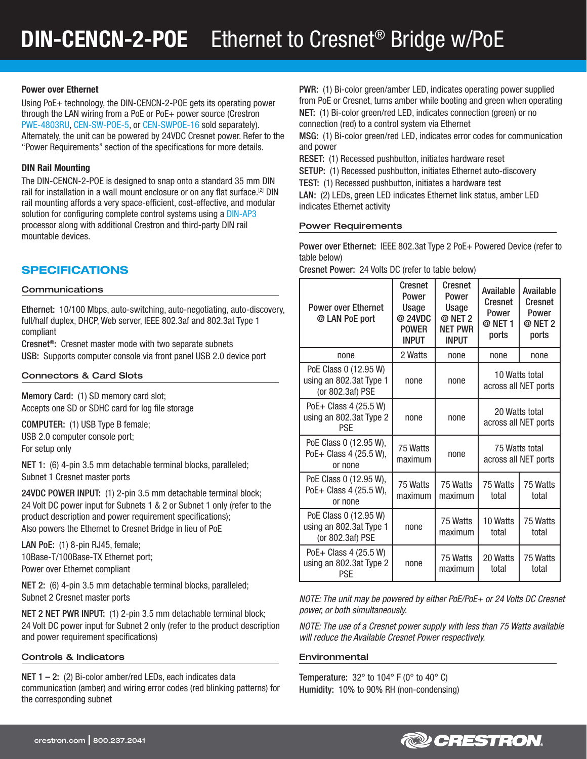## Power over Ethernet

Using PoE+ technology, the DIN-CENCN-2-POE gets its operating power through the LAN wiring from a PoE or PoE+ power source (Crestron [PWE-4803RU](http://www.crestron.com/resources/product_and_programming_resources/catalogs_and_brochures/online_catalog/default.asp?jump=1&model=PWE-4803RU), [CEN-SW-POE-5,](http://www.crestron.com/resources/product_and_programming_resources/catalogs_and_brochures/online_catalog/default.asp?jump=1&model=CEN-SW-POE-5) or [CEN-SWPOE-16](http://www.crestron.com/resources/product_and_programming_resources/catalogs_and_brochures/online_catalog/default.asp?jump=1&model=CEN-SWPOE-16) sold separately). Alternately, the unit can be powered by 24VDC Cresnet power. Refer to the "Power Requirements" section of the specifications for more details.

## DIN Rail Mounting

The DIN-CENCN-2-POE is designed to snap onto a standard 35 mm DIN rail for installation in a wall mount enclosure or on any flat surface.[2] DIN rail mounting affords a very space-efficient, cost-effective, and modular solution for configuring complete control systems using a **DIN-AP3** processor along with additional Crestron and third-party DIN rail mountable devices.

## SPECIFICATIONS

## Communications

Ethernet: 10/100 Mbps, auto-switching, auto-negotiating, auto-discovery, full/half duplex, DHCP, Web server, IEEE 802.3af and 802.3at Type 1 compliant

Cresnet®: Cresnet master mode with two separate subnets USB: Supports computer console via front panel USB 2.0 device port

## Connectors & Card Slots

Memory Card: (1) SD memory card slot; Accepts one SD or SDHC card for log file storage

COMPUTER: (1) USB Type B female; USB 2.0 computer console port; For setup only

NET 1: (6) 4-pin 3.5 mm detachable terminal blocks, paralleled; Subnet 1 Cresnet master ports

24VDC POWER INPUT: (1) 2-pin 3.5 mm detachable terminal block; 24 Volt DC power input for Subnets 1 & 2 or Subnet 1 only (refer to the product description and power requirement specifications); Also powers the Ethernet to Cresnet Bridge in lieu of PoE

LAN PoE: (1) 8-pin RJ45, female; 10Base-T/100Base-TX Ethernet port; Power over Ethernet compliant

NET 2: (6) 4-pin 3.5 mm detachable terminal blocks, paralleled; Subnet 2 Cresnet master ports

NET 2 NET PWR INPUT: (1) 2-pin 3.5 mm detachable terminal block; 24 Volt DC power input for Subnet 2 only (refer to the product description and power requirement specifications)

## Controls & Indicators

NET  $1 - 2$ : (2) Bi-color amber/red LEDs, each indicates data communication (amber) and wiring error codes (red blinking patterns) for the corresponding subnet

PWR: (1) Bi-color green/amber LED, indicates operating power supplied from PoE or Cresnet, turns amber while booting and green when operating NET: (1) Bi-color green/red LED, indicates connection (green) or no connection (red) to a control system via Ethernet

MSG: (1) Bi-color green/red LED, indicates error codes for communication and power

RESET: (1) Recessed pushbutton, initiates hardware reset

SETUP: (1) Recessed pushbutton, initiates Ethernet auto-discovery

TEST: (1) Recessed pushbutton, initiates a hardware test

LAN: (2) LEDs, green LED indicates Ethernet link status, amber LED indicates Ethernet activity

## Power Requirements

Power over Ethernet: IEEE 802.3at Type 2 PoE+ Powered Device (refer to table below)

Cresnet Power: 24 Volts DC (refer to table below)

| <b>Power over Ethernet</b><br>@ LAN PoE port                         | Cresnet<br>Power<br>Usage<br>@ 24VDC<br><b>POWER</b><br><b>INPUT</b> | Cresnet<br>Power<br>Usage<br>@ NET 2<br><b>NET PWR</b><br><b>INPUT</b> | Available<br>Cresnet<br>Power<br>@ NET 1<br>ports | Available<br><b>Cresnet</b><br>Power<br>@ NET 2<br>ports |
|----------------------------------------------------------------------|----------------------------------------------------------------------|------------------------------------------------------------------------|---------------------------------------------------|----------------------------------------------------------|
| none                                                                 | 2 Watts                                                              | none                                                                   | none                                              | none                                                     |
| PoE Class 0 (12.95 W)<br>using an 802.3at Type 1<br>(or 802.3af) PSE | none                                                                 | none                                                                   | 10 Watts total<br>across all NET ports            |                                                          |
| PoE+ Class 4 (25.5 W)<br>using an 802.3at Type 2<br>PSF              | none                                                                 | none                                                                   | 20 Watts total<br>across all NET ports            |                                                          |
| PoE Class 0 (12.95 W),<br>PoE+ Class 4 (25.5 W),<br>or none          | 75 Watts<br>maximum                                                  | none                                                                   | 75 Watts total<br>across all NET ports            |                                                          |
| PoE Class 0 (12.95 W),<br>PoE+ Class 4 (25.5 W),<br>or none          | 75 Watts<br>maximum                                                  | 75 Watts<br>maximum                                                    | 75 Watts<br>total                                 | 75 Watts<br>total                                        |
| PoE Class 0 (12.95 W)<br>using an 802.3at Type 1<br>(or 802.3af) PSE | none                                                                 | 75 Watts<br>maximum                                                    | 10 Watts<br>total                                 | 75 Watts<br>total                                        |
| PoE+ Class 4 (25.5 W)<br>using an 802.3at Type 2<br><b>PSE</b>       | none                                                                 | 75 Watts<br>maximum                                                    | 20 Watts<br>total                                 | 75 Watts<br>total                                        |

*NOTE: The unit may be powered by either PoE/PoE+ or 24 Volts DC Cresnet power, or both simultaneously.*

*NOTE: The use of a Cresnet power supply with less than 75 Watts available will reduce the Available Cresnet Power respectively.*

## Environmental

Temperature:  $32^\circ$  to  $104^\circ$  F (0° to  $40^\circ$  C) Humidity: 10% to 90% RH (non-condensing)